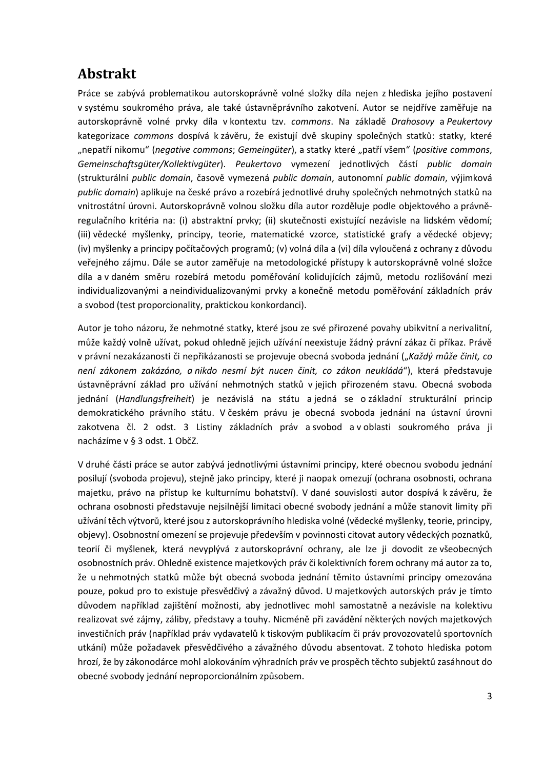# **Abstrakt**

Práce se zabývá problematikou autorskoprávně volné složky díla nejen z hlediska jejího postavení v systému soukromého práva, ale také ústavněprávního zakotvení. Autor se nejdříve zaměřuje na autorskoprávně volné prvky díla v kontextu tzv. *commons*. Na základě *Drahosovy* a *Peukertovy* kategorizace *commons* dospívá k závěru, že existují dvě skupiny společných statků: statky, které "nepatří nikomu" (*negative commons*; *Gemeingüter*), a statky které "patří všem" (*positive commons*, *Gemeinschaftsgüter/Kollektivgüter*). *Peukertovo* vymezení jednotlivých částí *public domain* (strukturální *public domain*, časově vymezená *public domain*, autonomní *public domain*, výjimková *public domain*) aplikuje na české právo a rozebírá jednotlivé druhy společných nehmotných statků na vnitrostátní úrovni. Autorskoprávně volnou složku díla autor rozděluje podle objektového a právněregulačního kritéria na: (i) abstraktní prvky; (ii) skutečnosti existující nezávisle na lidském vědomí; (iii) vědecké myšlenky, principy, teorie, matematické vzorce, statistické grafy a vědecké objevy; (iv) myšlenky a principy počítačových programů; (v) volná díla a (vi) díla vyloučená z ochrany z důvodu veřejného zájmu. Dále se autor zaměřuje na metodologické přístupy k autorskoprávně volné složce díla a v daném směru rozebírá metodu poměřování kolidujících zájmů, metodu rozlišování mezi individualizovanými a neindividualizovanými prvky a konečně metodu poměřování základních práv a svobod (test proporcionality, praktickou konkordanci).

Autor je toho názoru, že nehmotné statky, které jsou ze své přirozené povahy ubikvitní a nerivalitní, může každý volně užívat, pokud ohledně jejich užívání neexistuje žádný právní zákaz či příkaz. Právě v právní nezakázanosti či nepřikázanosti se projevuje obecná svoboda jednání ("*Každý může činit, co není zákonem zakázáno, a nikdo nesmí být nucen činit, co zákon neukládá*"), která představuje ústavněprávní základ pro užívání nehmotných statků v jejich přirozeném stavu. Obecná svoboda jednání (*Handlungsfreiheit*) je nezávislá na státu a jedná se o základní strukturální princip demokratického právního státu. V českém právu je obecná svoboda jednání na ústavní úrovni zakotvena čl. 2 odst. 3 Listiny základních práv a svobod a v oblasti soukromého práva ji nacházíme v § 3 odst. 1 ObčZ.

V druhé části práce se autor zabývá jednotlivými ústavními principy, které obecnou svobodu jednání posilují (svoboda projevu), stejně jako principy, které ji naopak omezují (ochrana osobnosti, ochrana majetku, právo na přístup ke kulturnímu bohatství). V dané souvislosti autor dospívá k závěru, že ochrana osobnosti představuje nejsilnější limitaci obecné svobody jednání a může stanovit limity při užívání těch výtvorů, které jsou z autorskoprávního hlediska volné (vědecké myšlenky, teorie, principy, objevy). Osobnostní omezení se projevuje především v povinnosti citovat autory vědeckých poznatků, teorií či myšlenek, která nevyplývá z autorskoprávní ochrany, ale lze ji dovodit ze všeobecných osobnostních práv. Ohledně existence majetkových práv či kolektivních forem ochrany má autor za to, že u nehmotných statků může být obecná svoboda jednání těmito ústavními principy omezována pouze, pokud pro to existuje přesvědčivý a závažný důvod. U majetkových autorských práv je tímto důvodem například zajištění možnosti, aby jednotlivec mohl samostatně a nezávisle na kolektivu realizovat své zájmy, záliby, představy a touhy. Nicméně při zavádění některých nových majetkových investičních práv (například práv vydavatelů k tiskovým publikacím či práv provozovatelů sportovních utkání) může požadavek přesvědčivého a závažného důvodu absentovat. Z tohoto hlediska potom hrozí, že by zákonodárce mohl alokováním výhradních práv ve prospěch těchto subjektů zasáhnout do obecné svobody jednání neproporcionálním způsobem.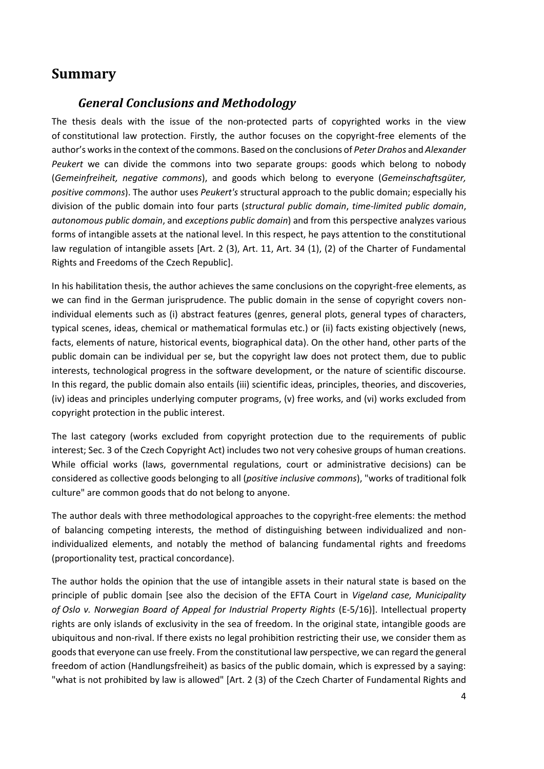## **Summary**

#### *General Conclusions and Methodology*

The thesis deals with the issue of the non-protected parts of copyrighted works in the view of constitutional law protection. Firstly, the author focuses on the copyright-free elements of the author's works in the context of the commons. Based on the conclusions of *Peter Drahos* and *Alexander Peukert* we can divide the commons into two separate groups: goods which belong to nobody (*Gemeinfreiheit, negative commons*), and goods which belong to everyone (*Gemeinschaftsgüter, positive commons*). The author uses *Peukert's* structural approach to the public domain; especially his division of the public domain into four parts (*structural public domain*, *time-limited public domain*, *autonomous public domain*, and *exceptions public domain*) and from this perspective analyzes various forms of intangible assets at the national level. In this respect, he pays attention to the constitutional law regulation of intangible assets [Art. 2 (3), Art. 11, Art. 34 (1), (2) of the Charter of Fundamental Rights and Freedoms of the Czech Republic].

In his habilitation thesis, the author achieves the same conclusions on the copyright-free elements, as we can find in the German jurisprudence. The public domain in the sense of copyright covers nonindividual elements such as (i) abstract features (genres, general plots, general types of characters, typical scenes, ideas, chemical or mathematical formulas etc.) or (ii) facts existing objectively (news, facts, elements of nature, historical events, biographical data). On the other hand, other parts of the public domain can be individual per se, but the copyright law does not protect them, due to public interests, technological progress in the software development, or the nature of scientific discourse. In this regard, the public domain also entails (iii) scientific ideas, principles, theories, and discoveries, (iv) ideas and principles underlying computer programs, (v) free works, and (vi) works excluded from copyright protection in the public interest.

The last category (works excluded from copyright protection due to the requirements of public interest; Sec. 3 of the Czech Copyright Act) includes two not very cohesive groups of human creations. While official works (laws, governmental regulations, court or administrative decisions) can be considered as collective goods belonging to all (*positive inclusive commons*), "works of traditional folk culture" are common goods that do not belong to anyone.

The author deals with three methodological approaches to the copyright-free elements: the method of balancing competing interests, the method of distinguishing between individualized and nonindividualized elements, and notably the method of balancing fundamental rights and freedoms (proportionality test, practical concordance).

The author holds the opinion that the use of intangible assets in their natural state is based on the principle of public domain [see also the decision of the EFTA Court in *Vigeland case, Municipality of Oslo v. Norwegian Board of Appeal for Industrial Property Rights* (E-5/16)]. Intellectual property rights are only islands of exclusivity in the sea of freedom. In the original state, intangible goods are ubiquitous and non-rival. If there exists no legal prohibition restricting their use, we consider them as goods that everyone can use freely. From the constitutional law perspective, we can regard the general freedom of action (Handlungsfreiheit) as basics of the public domain, which is expressed by a saying: "what is not prohibited by law is allowed" [Art. 2 (3) of the Czech Charter of Fundamental Rights and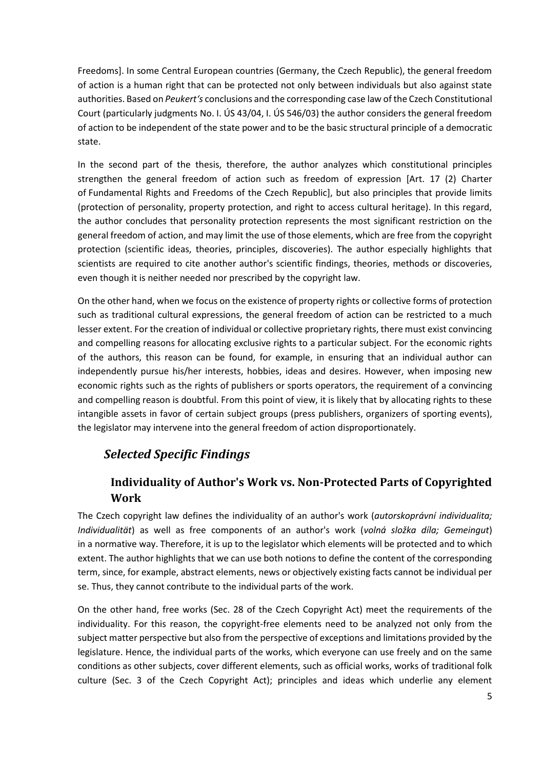Freedoms]. In some Central European countries (Germany, the Czech Republic), the general freedom of action is a human right that can be protected not only between individuals but also against state authorities. Based on *Peukert's* conclusions and the corresponding case law of the Czech Constitutional Court (particularly judgments No. I. ÚS 43/04, I. ÚS 546/03) the author considers the general freedom of action to be independent of the state power and to be the basic structural principle of a democratic state.

In the second part of the thesis, therefore, the author analyzes which constitutional principles strengthen the general freedom of action such as freedom of expression [Art. 17 (2) Charter of Fundamental Rights and Freedoms of the Czech Republic], but also principles that provide limits (protection of personality, property protection, and right to access cultural heritage). In this regard, the author concludes that personality protection represents the most significant restriction on the general freedom of action, and may limit the use of those elements, which are free from the copyright protection (scientific ideas, theories, principles, discoveries). The author especially highlights that scientists are required to cite another author's scientific findings, theories, methods or discoveries, even though it is neither needed nor prescribed by the copyright law.

On the other hand, when we focus on the existence of property rights or collective forms of protection such as traditional cultural expressions, the general freedom of action can be restricted to a much lesser extent. For the creation of individual or collective proprietary rights, there must exist convincing and compelling reasons for allocating exclusive rights to a particular subject. For the economic rights of the authors, this reason can be found, for example, in ensuring that an individual author can independently pursue his/her interests, hobbies, ideas and desires. However, when imposing new economic rights such as the rights of publishers or sports operators, the requirement of a convincing and compelling reason is doubtful. From this point of view, it is likely that by allocating rights to these intangible assets in favor of certain subject groups (press publishers, organizers of sporting events), the legislator may intervene into the general freedom of action disproportionately.

## *Selected Specific Findings*

## **Individuality of Author's Work vs. Non-Protected Parts of Copyrighted Work**

The Czech copyright law defines the individuality of an author's work (*autorskoprávní individualita; Individualität*) as well as free components of an author's work (*volná složka díla; Gemeingut*) in a normative way. Therefore, it is up to the legislator which elements will be protected and to which extent. The author highlights that we can use both notions to define the content of the corresponding term, since, for example, abstract elements, news or objectively existing facts cannot be individual per se. Thus, they cannot contribute to the individual parts of the work.

On the other hand, free works (Sec. 28 of the Czech Copyright Act) meet the requirements of the individuality. For this reason, the copyright-free elements need to be analyzed not only from the subject matter perspective but also from the perspective of exceptions and limitations provided by the legislature. Hence, the individual parts of the works, which everyone can use freely and on the same conditions as other subjects, cover different elements, such as official works, works of traditional folk culture (Sec. 3 of the Czech Copyright Act); principles and ideas which underlie any element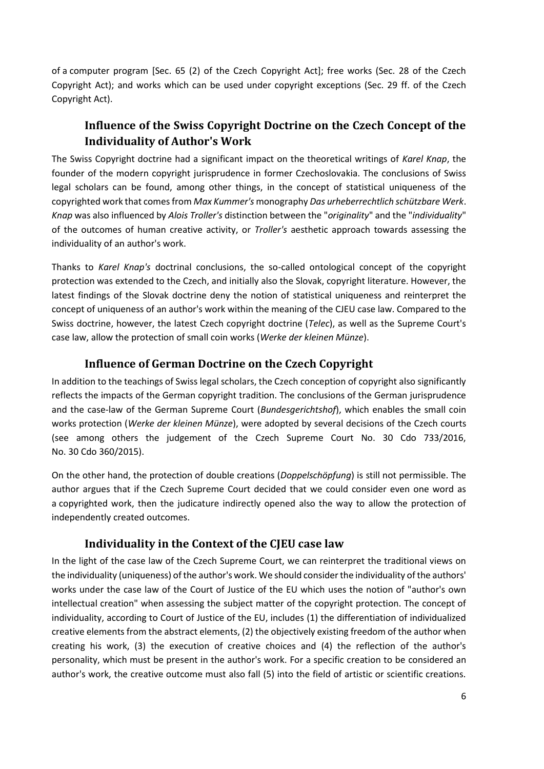of a computer program [Sec. 65 (2) of the Czech Copyright Act]; free works (Sec. 28 of the Czech Copyright Act); and works which can be used under copyright exceptions (Sec. 29 ff. of the Czech Copyright Act).

## **Influence of the Swiss Copyright Doctrine on the Czech Concept of the Individuality of Author's Work**

The Swiss Copyright doctrine had a significant impact on the theoretical writings of *Karel Knap*, the founder of the modern copyright jurisprudence in former Czechoslovakia. The conclusions of Swiss legal scholars can be found, among other things, in the concept of statistical uniqueness of the copyrighted work that comes from *Max Kummer's* monography *Das urheberrechtlich schützbare Werk*. *Knap* was also influenced by *Alois Troller's* distinction between the "*originality*" and the "*individuality*" of the outcomes of human creative activity, or *Troller's* aesthetic approach towards assessing the individuality of an author's work.

Thanks to *Karel Knap's* doctrinal conclusions, the so-called ontological concept of the copyright protection was extended to the Czech, and initially also the Slovak, copyright literature. However, the latest findings of the Slovak doctrine deny the notion of statistical uniqueness and reinterpret the concept of uniqueness of an author's work within the meaning of the CJEU case law. Compared to the Swiss doctrine, however, the latest Czech copyright doctrine (*Telec*), as well as the Supreme Court's case law, allow the protection of small coin works (*Werke der kleinen Münze*).

#### **Influence of German Doctrine on the Czech Copyright**

In addition to the teachings of Swiss legal scholars, the Czech conception of copyright also significantly reflects the impacts of the German copyright tradition. The conclusions of the German jurisprudence and the case-law of the German Supreme Court (*Bundesgerichtshof*), which enables the small coin works protection (*Werke der kleinen Münze*), were adopted by several decisions of the Czech courts (see among others the judgement of the Czech Supreme Court No. 30 Cdo 733/2016, No. 30 Cdo 360/2015).

On the other hand, the protection of double creations (*Doppelschöpfung*) is still not permissible. The author argues that if the Czech Supreme Court decided that we could consider even one word as a copyrighted work, then the judicature indirectly opened also the way to allow the protection of independently created outcomes.

#### **Individuality in the Context of the CJEU case law**

In the light of the case law of the Czech Supreme Court, we can reinterpret the traditional views on the individuality (uniqueness) of the author's work. We should consider the individuality of the authors' works under the case law of the Court of Justice of the EU which uses the notion of "author's own intellectual creation" when assessing the subject matter of the copyright protection. The concept of individuality, according to Court of Justice of the EU, includes (1) the differentiation of individualized creative elements from the abstract elements, (2) the objectively existing freedom of the author when creating his work, (3) the execution of creative choices and (4) the reflection of the author's personality, which must be present in the author's work. For a specific creation to be considered an author's work, the creative outcome must also fall (5) into the field of artistic or scientific creations.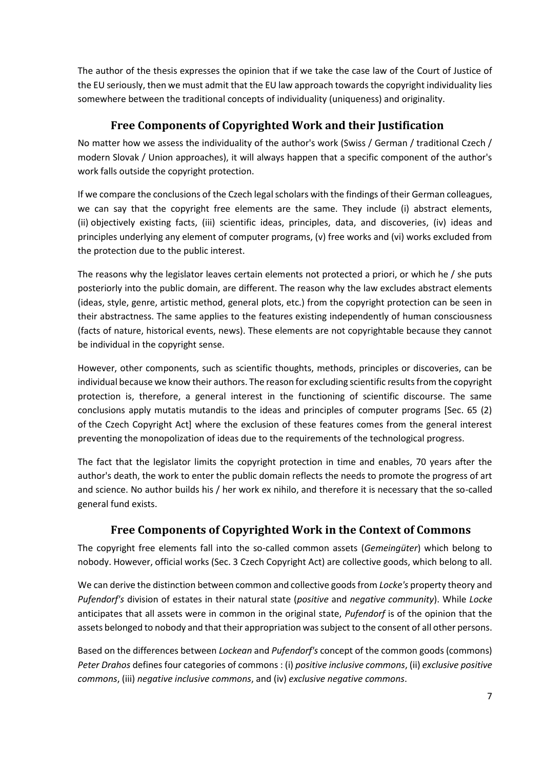The author of the thesis expresses the opinion that if we take the case law of the Court of Justice of the EU seriously, then we must admit that the EU law approach towards the copyright individuality lies somewhere between the traditional concepts of individuality (uniqueness) and originality.

## **Free Components of Copyrighted Work and their Justification**

No matter how we assess the individuality of the author's work (Swiss / German / traditional Czech / modern Slovak / Union approaches), it will always happen that a specific component of the author's work falls outside the copyright protection.

If we compare the conclusions of the Czech legal scholars with the findings of their German colleagues, we can say that the copyright free elements are the same. They include (i) abstract elements, (ii) objectively existing facts, (iii) scientific ideas, principles, data, and discoveries, (iv) ideas and principles underlying any element of computer programs, (v) free works and (vi) works excluded from the protection due to the public interest.

The reasons why the legislator leaves certain elements not protected a priori, or which he / she puts posteriorly into the public domain, are different. The reason why the law excludes abstract elements (ideas, style, genre, artistic method, general plots, etc.) from the copyright protection can be seen in their abstractness. The same applies to the features existing independently of human consciousness (facts of nature, historical events, news). These elements are not copyrightable because they cannot be individual in the copyright sense.

However, other components, such as scientific thoughts, methods, principles or discoveries, can be individual because we know their authors. The reason for excluding scientific results from the copyright protection is, therefore, a general interest in the functioning of scientific discourse. The same conclusions apply mutatis mutandis to the ideas and principles of computer programs [Sec. 65 (2) of the Czech Copyright Act] where the exclusion of these features comes from the general interest preventing the monopolization of ideas due to the requirements of the technological progress.

The fact that the legislator limits the copyright protection in time and enables, 70 years after the author's death, the work to enter the public domain reflects the needs to promote the progress of art and science. No author builds his / her work ex nihilo, and therefore it is necessary that the so-called general fund exists.

## **Free Components of Copyrighted Work in the Context of Commons**

The copyright free elements fall into the so-called common assets (*Gemeingüter*) which belong to nobody. However, official works (Sec. 3 Czech Copyright Act) are collective goods, which belong to all.

We can derive the distinction between common and collective goods from *Locke's* property theory and *Pufendorf's* division of estates in their natural state (*positive* and *negative community*). While *Locke* anticipates that all assets were in common in the original state, *Pufendorf* is of the opinion that the assets belonged to nobody and that their appropriation was subject to the consent of all other persons.

Based on the differences between *Lockean* and *Pufendorf's* concept of the common goods (commons) *Peter Drahos* defines four categories of commons : (i) *positive inclusive commons*, (ii) *exclusive positive commons*, (iii) *negative inclusive commons*, and (iv) *exclusive negative commons*.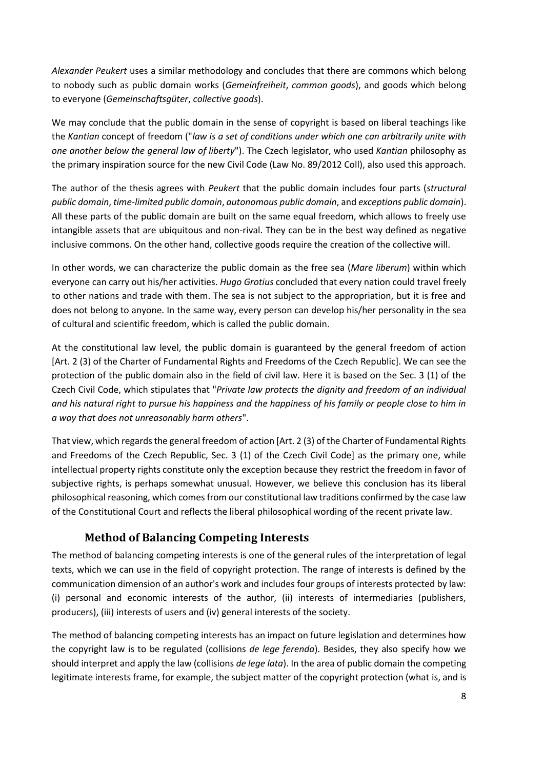*Alexander Peukert* uses a similar methodology and concludes that there are commons which belong to nobody such as public domain works (*Gemeinfreiheit*, *common goods*), and goods which belong to everyone (*Gemeinschaftsgüter*, *collective goods*).

We may conclude that the public domain in the sense of copyright is based on liberal teachings like the *Kantian* concept of freedom ("*law is a set of conditions under which one can arbitrarily unite with one another below the general law of liberty*"). The Czech legislator, who used *Kantian* philosophy as the primary inspiration source for the new Civil Code (Law No. 89/2012 Coll), also used this approach.

The author of the thesis agrees with *Peukert* that the public domain includes four parts (*structural public domain*, *time-limited public domain*, *autonomous public domain*, and *exceptions public domain*). All these parts of the public domain are built on the same equal freedom, which allows to freely use intangible assets that are ubiquitous and non-rival. They can be in the best way defined as negative inclusive commons. On the other hand, collective goods require the creation of the collective will.

In other words, we can characterize the public domain as the free sea (*Mare liberum*) within which everyone can carry out his/her activities. *Hugo Grotius* concluded that every nation could travel freely to other nations and trade with them. The sea is not subject to the appropriation, but it is free and does not belong to anyone. In the same way, every person can develop his/her personality in the sea of cultural and scientific freedom, which is called the public domain.

At the constitutional law level, the public domain is guaranteed by the general freedom of action [Art. 2 (3) of the Charter of Fundamental Rights and Freedoms of the Czech Republic]. We can see the protection of the public domain also in the field of civil law. Here it is based on the Sec. 3 (1) of the Czech Civil Code, which stipulates that "*Private law protects the dignity and freedom of an individual and his natural right to pursue his happiness and the happiness of his family or people close to him in a way that does not unreasonably harm others*".

That view, which regards the general freedom of action [Art. 2 (3) of the Charter of Fundamental Rights and Freedoms of the Czech Republic, Sec. 3 (1) of the Czech Civil Code] as the primary one, while intellectual property rights constitute only the exception because they restrict the freedom in favor of subjective rights, is perhaps somewhat unusual. However, we believe this conclusion has its liberal philosophical reasoning, which comes from our constitutional law traditions confirmed by the case law of the Constitutional Court and reflects the liberal philosophical wording of the recent private law.

## **Method of Balancing Competing Interests**

The method of balancing competing interests is one of the general rules of the interpretation of legal texts, which we can use in the field of copyright protection. The range of interests is defined by the communication dimension of an author's work and includes four groups of interests protected by law: (i) personal and economic interests of the author, (ii) interests of intermediaries (publishers, producers), (iii) interests of users and (iv) general interests of the society.

The method of balancing competing interests has an impact on future legislation and determines how the copyright law is to be regulated (collisions *de lege ferenda*). Besides, they also specify how we should interpret and apply the law (collisions *de lege lata*). In the area of public domain the competing legitimate interests frame, for example, the subject matter of the copyright protection (what is, and is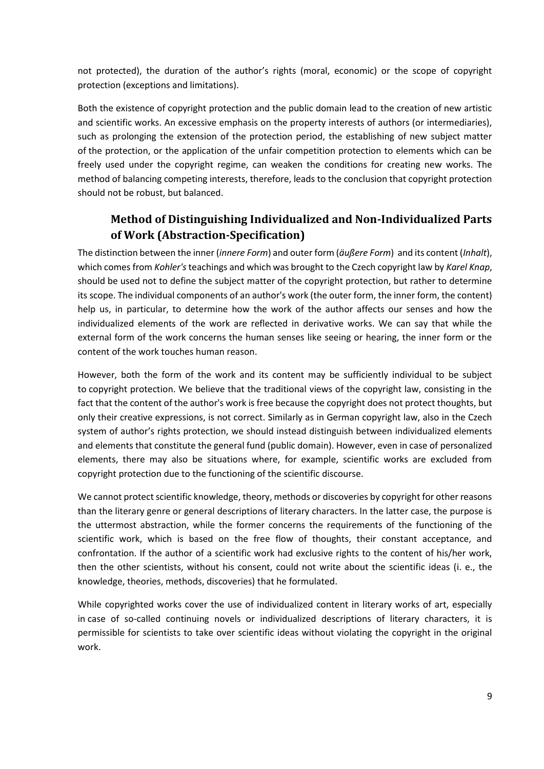not protected), the duration of the author's rights (moral, economic) or the scope of copyright protection (exceptions and limitations).

Both the existence of copyright protection and the public domain lead to the creation of new artistic and scientific works. An excessive emphasis on the property interests of authors (or intermediaries), such as prolonging the extension of the protection period, the establishing of new subject matter of the protection, or the application of the unfair competition protection to elements which can be freely used under the copyright regime, can weaken the conditions for creating new works. The method of balancing competing interests, therefore, leads to the conclusion that copyright protection should not be robust, but balanced.

## **Method of Distinguishing Individualized and Non-Individualized Parts of Work (Abstraction-Specification)**

The distinction between the inner (*innere Form*) and outer form (*äußere Form*) and its content (*Inhalt*), which comes from *Kohler's*teachings and which was brought to the Czech copyright law by *Karel Knap*, should be used not to define the subject matter of the copyright protection, but rather to determine its scope. The individual components of an author's work (the outer form, the inner form, the content) help us, in particular, to determine how the work of the author affects our senses and how the individualized elements of the work are reflected in derivative works. We can say that while the external form of the work concerns the human senses like seeing or hearing, the inner form or the content of the work touches human reason.

However, both the form of the work and its content may be sufficiently individual to be subject to copyright protection. We believe that the traditional views of the copyright law, consisting in the fact that the content of the author's work is free because the copyright does not protect thoughts, but only their creative expressions, is not correct. Similarly as in German copyright law, also in the Czech system of author's rights protection, we should instead distinguish between individualized elements and elements that constitute the general fund (public domain). However, even in case of personalized elements, there may also be situations where, for example, scientific works are excluded from copyright protection due to the functioning of the scientific discourse.

We cannot protect scientific knowledge, theory, methods or discoveries by copyright for other reasons than the literary genre or general descriptions of literary characters. In the latter case, the purpose is the uttermost abstraction, while the former concerns the requirements of the functioning of the scientific work, which is based on the free flow of thoughts, their constant acceptance, and confrontation. If the author of a scientific work had exclusive rights to the content of his/her work, then the other scientists, without his consent, could not write about the scientific ideas (i. e., the knowledge, theories, methods, discoveries) that he formulated.

While copyrighted works cover the use of individualized content in literary works of art, especially in case of so-called continuing novels or individualized descriptions of literary characters, it is permissible for scientists to take over scientific ideas without violating the copyright in the original work.